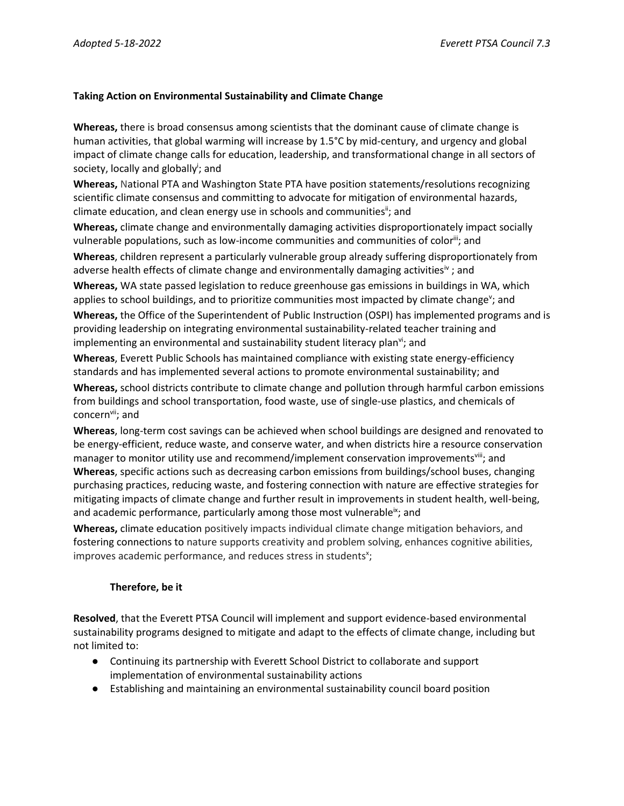## **Taking Action on Environmental Sustainability and Climate Change**

**Whereas,** there is broad consensus among scientists that the dominant cause of climate change is human activities, that global warming will increase by 1.5°C by mid-century, and urgency and global impact of climate change calls for education, leadership, and transformational change in all sectors of society, locally and globally<sup>i</sup>; and

**Whereas,** National PTA and Washington State PTA have position statements/resolutions recognizing scientific climate consensus and committing to advocate for mitigation of environmental hazards, climate education, and clean energy use in schools and communities<sup>ii</sup>; and

**Whereas,** climate change and environmentally damaging activities disproportionately impact socially vulnerable populations, such as low-income communities and communities of color<sup>iii</sup>; and

**Whereas**, children represent a particularly vulnerable group already suffering disproportionately from adverse health effects of climate change and environmentally damaging activities<sup>iv</sup>; and **Whereas,** WA state passed legislation to reduce greenhouse gas emissions in buildings in WA, which applies to school buildings, and to prioritize communities most impacted by climate change<sup>v</sup>; and

**Whereas,** the Office of the Superintendent of Public Instruction (OSPI) has implemented programs and is providing leadership on integrating environmental sustainability-related teacher training and implementing an environmental and sustainability student literacy plan<sup>vi</sup>; and

**Whereas**, Everett Public Schools has maintained compliance with existing state energy-efficiency standards and has implemented several actions to promote environmental sustainability; and

**Whereas,** school districts contribute to climate change and pollution through harmful carbon emissions from buildings and school transportation, food waste, use of single-use plastics, and chemicals of concern<sup>vii</sup>; and

**Whereas**, long-term cost savings can be achieved when school buildings are designed and renovated to be energy-efficient, reduce waste, and conserve water, and when districts hire a resource conservation manager to monitor utility use and recommend/implement conservation improvements<sup>viii</sup>; and **Whereas**, specific actions such as decreasing carbon emissions from buildings/school buses, changing purchasing practices, reducing waste, and fostering connection with nature are effective strategies for mitigating impacts of climate change and further result in improvements in student health, well-being, and academic performance, particularly among those most vulnerable<sup>ix</sup>; and

**Whereas,** climate education positively impacts individual climate change mitigation behaviors, and fostering connections to nature supports creativity and problem solving, enhances cognitive abilities, improves academic performance, and reduces stress in students<sup>x</sup>;

## **Therefore, be it**

**Resolved**, that the Everett PTSA Council will implement and support evidence-based environmental sustainability programs designed to mitigate and adapt to the effects of climate change, including but not limited to:

- Continuing its partnership with Everett School District to collaborate and support implementation of environmental sustainability actions
- Establishing and maintaining an environmental sustainability council board position